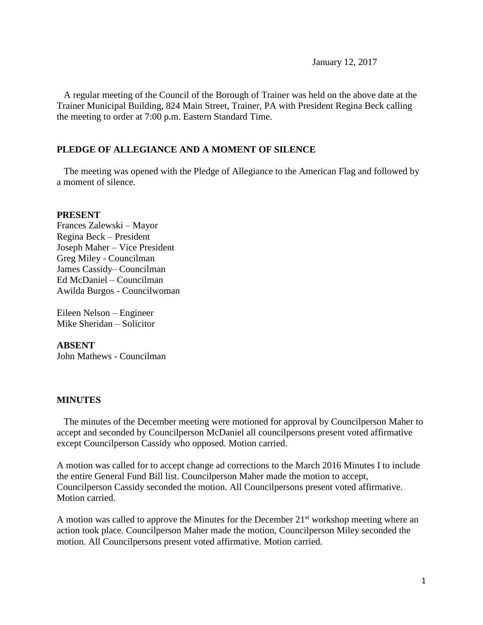A regular meeting of the Council of the Borough of Trainer was held on the above date at the Trainer Municipal Building, 824 Main Street, Trainer, PA with President Regina Beck calling the meeting to order at 7:00 p.m. Eastern Standard Time.

## **PLEDGE OF ALLEGIANCE AND A MOMENT OF SILENCE**

 The meeting was opened with the Pledge of Allegiance to the American Flag and followed by a moment of silence.

#### **PRESENT**

Frances Zalewski – Mayor Regina Beck – President Joseph Maher – Vice President Greg Miley - Councilman James Cassidy– Councilman Ed McDaniel – Councilman Awilda Burgos - Councilwoman

Eileen Nelson – Engineer Mike Sheridan – Solicitor

**ABSENT** John Mathews - Councilman

### **MINUTES**

The minutes of the December meeting were motioned for approval by Councilperson Maher to accept and seconded by Councilperson McDaniel all councilpersons present voted affirmative except Councilperson Cassidy who opposed. Motion carried.

A motion was called for to accept change ad corrections to the March 2016 Minutes I to include the entire General Fund Bill list. Councilperson Maher made the motion to accept, Councilperson Cassidy seconded the motion. All Councilpersons present voted affirmative. Motion carried.

A motion was called to approve the Minutes for the December  $21<sup>st</sup>$  workshop meeting where an action took place. Councilperson Maher made the motion, Councilperson Miley seconded the motion. All Councilpersons present voted affirmative. Motion carried.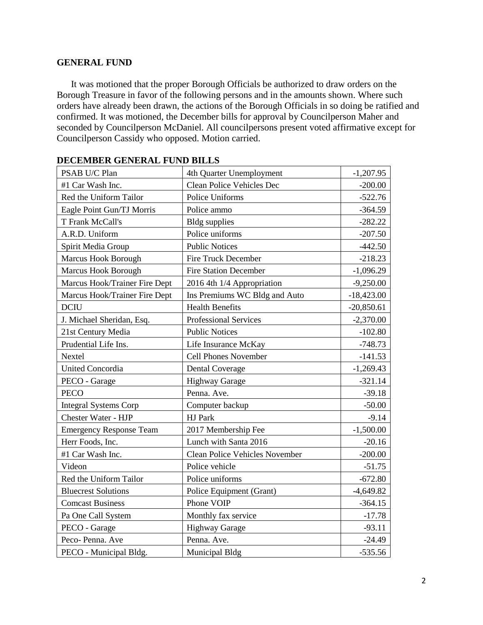### **GENERAL FUND**

 It was motioned that the proper Borough Officials be authorized to draw orders on the Borough Treasure in favor of the following persons and in the amounts shown. Where such orders have already been drawn, the actions of the Borough Officials in so doing be ratified and confirmed. It was motioned, the December bills for approval by Councilperson Maher and seconded by Councilperson McDaniel. All councilpersons present voted affirmative except for Councilperson Cassidy who opposed. Motion carried.

| PSAB U/C Plan                  | 4th Quarter Unemployment              | $-1,207.95$  |
|--------------------------------|---------------------------------------|--------------|
| #1 Car Wash Inc.               | Clean Police Vehicles Dec             | $-200.00$    |
| Red the Uniform Tailor         | Police Uniforms                       | $-522.76$    |
| Eagle Point Gun/TJ Morris      | Police ammo                           | $-364.59$    |
| T Frank McCall's               | <b>Bldg</b> supplies                  | $-282.22$    |
| A.R.D. Uniform                 | Police uniforms                       | $-207.50$    |
| Spirit Media Group             | <b>Public Notices</b>                 | $-442.50$    |
| <b>Marcus Hook Borough</b>     | Fire Truck December                   | $-218.23$    |
| Marcus Hook Borough            | <b>Fire Station December</b>          | $-1,096.29$  |
| Marcus Hook/Trainer Fire Dept  | 2016 4th 1/4 Appropriation            | $-9,250.00$  |
| Marcus Hook/Trainer Fire Dept  | Ins Premiums WC Bldg and Auto         | $-18,423.00$ |
| <b>DCIU</b>                    | <b>Health Benefits</b>                | $-20,850.61$ |
| J. Michael Sheridan, Esq.      | Professional Services                 | $-2,370.00$  |
| 21st Century Media             | <b>Public Notices</b>                 | $-102.80$    |
| Prudential Life Ins.           | Life Insurance McKay                  | $-748.73$    |
| Nextel                         | Cell Phones November                  | $-141.53$    |
| <b>United Concordia</b>        | <b>Dental Coverage</b>                | $-1,269.43$  |
| PECO - Garage                  | <b>Highway Garage</b>                 | $-321.14$    |
| <b>PECO</b>                    | Penna. Ave.                           | $-39.18$     |
| <b>Integral Systems Corp</b>   | Computer backup                       | $-50.00$     |
| <b>Chester Water - HJP</b>     | <b>HJ</b> Park                        | $-9.14$      |
| <b>Emergency Response Team</b> | 2017 Membership Fee                   | $-1,500.00$  |
| Herr Foods, Inc.               | Lunch with Santa 2016                 | $-20.16$     |
| #1 Car Wash Inc.               | <b>Clean Police Vehicles November</b> | $-200.00$    |
| Videon                         | Police vehicle                        | $-51.75$     |
| Red the Uniform Tailor         | Police uniforms                       | $-672.80$    |
| <b>Bluecrest Solutions</b>     | Police Equipment (Grant)              | $-4,649.82$  |
| <b>Comcast Business</b>        | Phone VOIP                            | $-364.15$    |
| Pa One Call System             | Monthly fax service                   | $-17.78$     |
| PECO - Garage                  | <b>Highway Garage</b>                 | $-93.11$     |
| Peco-Penna. Ave                | Penna. Ave.                           | $-24.49$     |
| PECO - Municipal Bldg.         | Municipal Bldg                        | $-535.56$    |

| <b>DECEMBER GENERAL FUND BILLS</b> |  |  |  |
|------------------------------------|--|--|--|
|------------------------------------|--|--|--|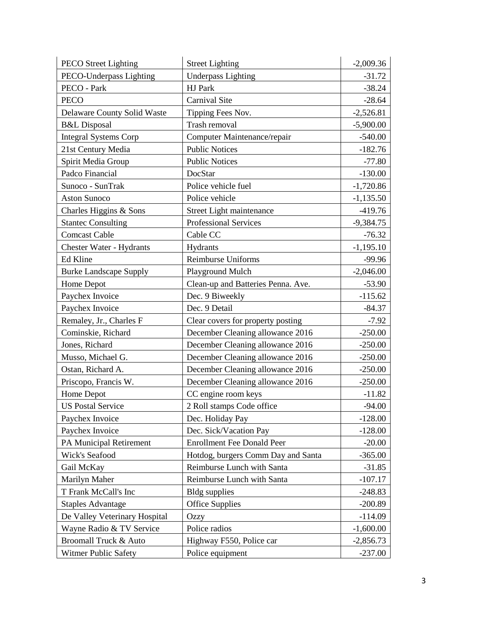| <b>PECO</b> Street Lighting    | <b>Street Lighting</b>             | $-2,009.36$ |
|--------------------------------|------------------------------------|-------------|
| PECO-Underpass Lighting        | <b>Underpass Lighting</b>          | $-31.72$    |
| PECO - Park                    | HJ Park                            | $-38.24$    |
| <b>PECO</b>                    | Carnival Site                      | $-28.64$    |
| Delaware County Solid Waste    | Tipping Fees Nov.                  | $-2,526.81$ |
| <b>B&amp;L</b> Disposal        | Trash removal                      | $-5,900.00$ |
| <b>Integral Systems Corp</b>   | Computer Maintenance/repair        | $-540.00$   |
| 21st Century Media             | <b>Public Notices</b>              | $-182.76$   |
| Spirit Media Group             | <b>Public Notices</b>              | $-77.80$    |
| Padco Financial                | DocStar                            | $-130.00$   |
| Sunoco - SunTrak               | Police vehicle fuel                | $-1,720.86$ |
| <b>Aston Sunoco</b>            | Police vehicle                     | $-1,135.50$ |
| Charles Higgins & Sons         | Street Light maintenance           | $-419.76$   |
| <b>Stantec Consulting</b>      | Professional Services              | $-9,384.75$ |
| <b>Comcast Cable</b>           | Cable CC                           | $-76.32$    |
| Chester Water - Hydrants       | Hydrants                           | $-1,195.10$ |
| Ed Kline                       | Reimburse Uniforms                 | $-99.96$    |
| <b>Burke Landscape Supply</b>  | Playground Mulch                   | $-2,046.00$ |
| Home Depot                     | Clean-up and Batteries Penna. Ave. | $-53.90$    |
| Paychex Invoice                | Dec. 9 Biweekly                    | $-115.62$   |
| Paychex Invoice                | Dec. 9 Detail                      | $-84.37$    |
| Remaley, Jr., Charles F        | Clear covers for property posting  | $-7.92$     |
| Cominskie, Richard             | December Cleaning allowance 2016   | $-250.00$   |
| Jones, Richard                 | December Cleaning allowance 2016   | $-250.00$   |
| Musso, Michael G.              | December Cleaning allowance 2016   | $-250.00$   |
| Ostan, Richard A.              | December Cleaning allowance 2016   | $-250.00$   |
| Priscopo, Francis W.           | December Cleaning allowance 2016   | $-250.00$   |
| Home Depot                     | CC engine room keys                | $-11.82$    |
| <b>US Postal Service</b>       | 2 Roll stamps Code office          | $-94.00$    |
| Paychex Invoice                | Dec. Holiday Pay                   | $-128.00$   |
| Paychex Invoice                | Dec. Sick/Vacation Pay             | $-128.00$   |
| <b>PA Municipal Retirement</b> | <b>Enrollment Fee Donald Peer</b>  | $-20.00$    |
| Wick's Seafood                 | Hotdog, burgers Comm Day and Santa | $-365.00$   |
| Gail McKay                     | Reimburse Lunch with Santa         | $-31.85$    |
| Marilyn Maher                  | Reimburse Lunch with Santa         | $-107.17$   |
| T Frank McCall's Inc           | <b>Bldg</b> supplies               | $-248.83$   |
| <b>Staples Advantage</b>       | <b>Office Supplies</b>             | $-200.89$   |
| De Valley Veterinary Hospital  | <b>Ozzy</b>                        | $-114.09$   |
| Wayne Radio & TV Service       | Police radios                      | $-1,600.00$ |
| Broomall Truck & Auto          | Highway F550, Police car           | $-2,856.73$ |
| Witmer Public Safety           | Police equipment                   | $-237.00$   |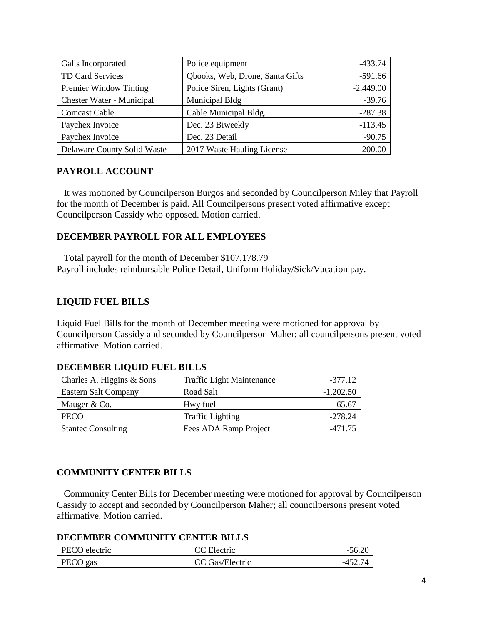| Galls Incorporated               | Police equipment                | $-433.74$   |
|----------------------------------|---------------------------------|-------------|
| TD Card Services                 | Qbooks, Web, Drone, Santa Gifts | $-591.66$   |
| Premier Window Tinting           | Police Siren, Lights (Grant)    | $-2,449.00$ |
| <b>Chester Water - Municipal</b> | Municipal Bldg                  | $-39.76$    |
| <b>Comcast Cable</b>             | Cable Municipal Bldg.           | $-287.38$   |
| Paychex Invoice                  | Dec. 23 Biweekly                | $-113.45$   |
| Paychex Invoice                  | Dec. 23 Detail                  | $-90.75$    |
| Delaware County Solid Waste      | 2017 Waste Hauling License      | $-200.00$   |

# **PAYROLL ACCOUNT**

 It was motioned by Councilperson Burgos and seconded by Councilperson Miley that Payroll for the month of December is paid. All Councilpersons present voted affirmative except Councilperson Cassidy who opposed. Motion carried.

# **DECEMBER PAYROLL FOR ALL EMPLOYEES**

 Total payroll for the month of December \$107,178.79 Payroll includes reimbursable Police Detail, Uniform Holiday/Sick/Vacation pay.

# **LIQUID FUEL BILLS**

Liquid Fuel Bills for the month of December meeting were motioned for approval by Councilperson Cassidy and seconded by Councilperson Maher; all councilpersons present voted affirmative. Motion carried.

| Phonometry one I can bind o |                                  |             |
|-----------------------------|----------------------------------|-------------|
| Charles A. Higgins & Sons   | <b>Traffic Light Maintenance</b> | $-377.12$   |
| <b>Eastern Salt Company</b> | Road Salt                        | $-1,202.50$ |
| Mauger & Co.                | Hwy fuel                         | $-65.67$    |
| PECO                        | <b>Traffic Lighting</b>          | $-278.24$   |
| <b>Stantec Consulting</b>   | Fees ADA Ramp Project            | $-471.75$   |

# **DECEMBER LIQUID FUEL BILLS**

### **COMMUNITY CENTER BILLS**

 Community Center Bills for December meeting were motioned for approval by Councilperson Cassidy to accept and seconded by Councilperson Maher; all councilpersons present voted affirmative. Motion carried.

### **DECEMBER COMMUNITY CENTER BILLS**

| PECO electric | CC Electric     | $-56.20$ |
|---------------|-----------------|----------|
| PECO gas      | CC Gas/Electric | -452.74  |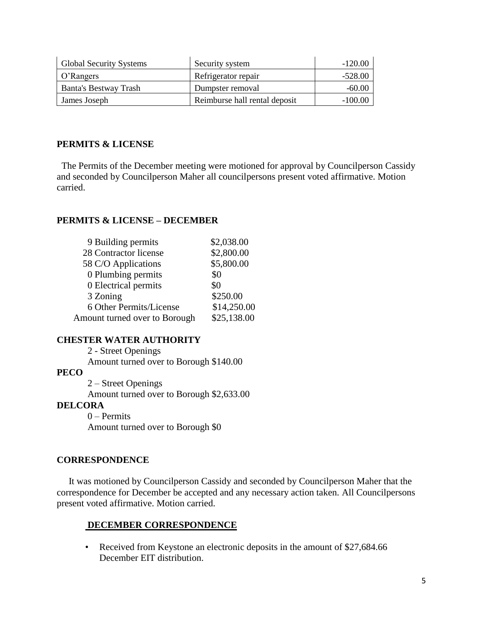| <b>Global Security Systems</b> | Security system               | $-120.00$ |
|--------------------------------|-------------------------------|-----------|
| O'Rangers                      | Refrigerator repair           | $-528.00$ |
| <b>Banta's Bestway Trash</b>   | Dumpster removal              | $-60.00$  |
| James Joseph                   | Reimburse hall rental deposit | $-100.00$ |

### **PERMITS & LICENSE**

The Permits of the December meeting were motioned for approval by Councilperson Cassidy and seconded by Councilperson Maher all councilpersons present voted affirmative. Motion carried.

### **PERMITS & LICENSE – DECEMBER**

| 9 Building permits            | \$2,038.00  |
|-------------------------------|-------------|
| 28 Contractor license         | \$2,800.00  |
| 58 C/O Applications           | \$5,800.00  |
| 0 Plumbing permits            | \$0         |
| 0 Electrical permits          | \$0         |
| 3 Zoning                      | \$250.00    |
| 6 Other Permits/License       | \$14,250.00 |
| Amount turned over to Borough | \$25,138.00 |

### **CHESTER WATER AUTHORITY**

2 - Street Openings Amount turned over to Borough \$140.00 **PECO** 2 – Street Openings

Amount turned over to Borough \$2,633.00

### **DELCORA**

0 – Permits Amount turned over to Borough \$0

### **CORRESPONDENCE**

 It was motioned by Councilperson Cassidy and seconded by Councilperson Maher that the correspondence for December be accepted and any necessary action taken. All Councilpersons present voted affirmative. Motion carried.

### **DECEMBER CORRESPONDENCE**

• Received from Keystone an electronic deposits in the amount of \$27,684.66 December EIT distribution.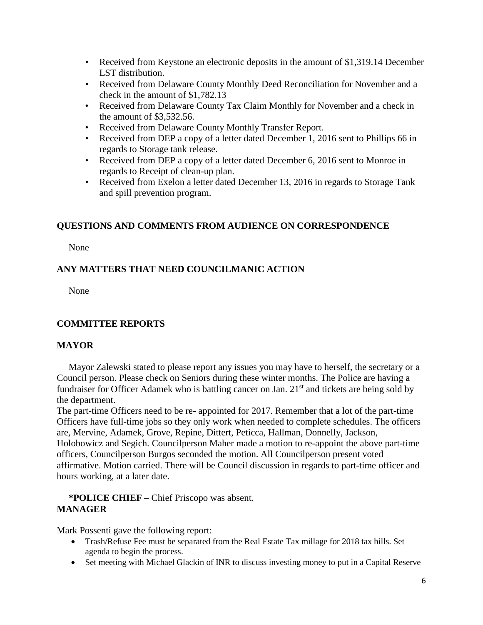- Received from Keystone an electronic deposits in the amount of \$1,319.14 December LST distribution.
- Received from Delaware County Monthly Deed Reconciliation for November and a check in the amount of \$1,782.13
- Received from Delaware County Tax Claim Monthly for November and a check in the amount of \$3,532.56.
- Received from Delaware County Monthly Transfer Report.
- Received from DEP a copy of a letter dated December 1, 2016 sent to Phillips 66 in regards to Storage tank release.
- Received from DEP a copy of a letter dated December 6, 2016 sent to Monroe in regards to Receipt of clean-up plan.
- Received from Exelon a letter dated December 13, 2016 in regards to Storage Tank and spill prevention program.

# **QUESTIONS AND COMMENTS FROM AUDIENCE ON CORRESPONDENCE**

None

# **ANY MATTERS THAT NEED COUNCILMANIC ACTION**

None

# **COMMITTEE REPORTS**

# **MAYOR**

Mayor Zalewski stated to please report any issues you may have to herself, the secretary or a Council person. Please check on Seniors during these winter months. The Police are having a fundraiser for Officer Adamek who is battling cancer on Jan. 21<sup>st</sup> and tickets are being sold by the department.

The part-time Officers need to be re- appointed for 2017. Remember that a lot of the part-time Officers have full-time jobs so they only work when needed to complete schedules. The officers are, Mervine, Adamek, Grove, Repine, Dittert, Peticca, Hallman, Donnelly, Jackson, Holobowicz and Segich. Councilperson Maher made a motion to re-appoint the above part-time officers, Councilperson Burgos seconded the motion. All Councilperson present voted affirmative. Motion carried. There will be Council discussion in regards to part-time officer and hours working, at a later date.

# **\*POLICE CHIEF –** Chief Priscopo was absent. **MANAGER**

Mark Possenti gave the following report:

- Trash/Refuse Fee must be separated from the Real Estate Tax millage for 2018 tax bills. Set agenda to begin the process.
- Set meeting with Michael Glackin of INR to discuss investing money to put in a Capital Reserve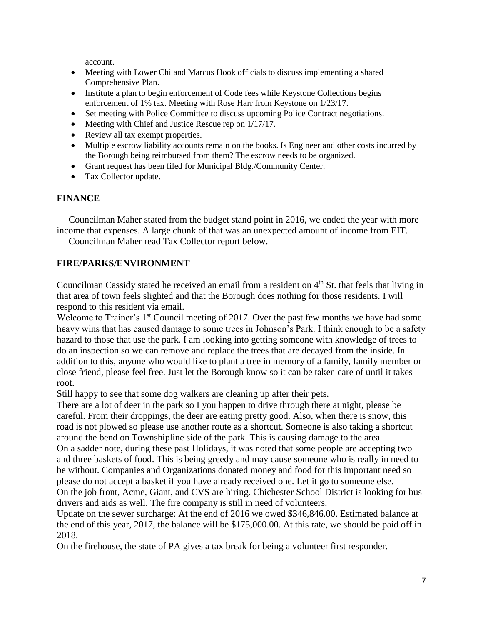account.

- Meeting with Lower Chi and Marcus Hook officials to discuss implementing a shared Comprehensive Plan.
- Institute a plan to begin enforcement of Code fees while Keystone Collections begins enforcement of 1% tax. Meeting with Rose Harr from Keystone on 1/23/17.
- Set meeting with Police Committee to discuss upcoming Police Contract negotiations.
- Meeting with Chief and Justice Rescue rep on  $1/17/17$ .
- Review all tax exempt properties.
- Multiple escrow liability accounts remain on the books. Is Engineer and other costs incurred by the Borough being reimbursed from them? The escrow needs to be organized.
- Grant request has been filed for Municipal Bldg./Community Center.
- Tax Collector update.

### **FINANCE**

Councilman Maher stated from the budget stand point in 2016, we ended the year with more income that expenses. A large chunk of that was an unexpected amount of income from EIT.

Councilman Maher read Tax Collector report below.

# **FIRE/PARKS/ENVIRONMENT**

Councilman Cassidy stated he received an email from a resident on 4<sup>th</sup> St. that feels that living in that area of town feels slighted and that the Borough does nothing for those residents. I will respond to this resident via email.

Welcome to Trainer's 1<sup>st</sup> Council meeting of 2017. Over the past few months we have had some heavy wins that has caused damage to some trees in Johnson's Park. I think enough to be a safety hazard to those that use the park. I am looking into getting someone with knowledge of trees to do an inspection so we can remove and replace the trees that are decayed from the inside. In addition to this, anyone who would like to plant a tree in memory of a family, family member or close friend, please feel free. Just let the Borough know so it can be taken care of until it takes root.

Still happy to see that some dog walkers are cleaning up after their pets.

There are a lot of deer in the park so I you happen to drive through there at night, please be careful. From their droppings, the deer are eating pretty good. Also, when there is snow, this road is not plowed so please use another route as a shortcut. Someone is also taking a shortcut around the bend on Townshipline side of the park. This is causing damage to the area.

On a sadder note, during these past Holidays, it was noted that some people are accepting two and three baskets of food. This is being greedy and may cause someone who is really in need to be without. Companies and Organizations donated money and food for this important need so please do not accept a basket if you have already received one. Let it go to someone else. On the job front, Acme, Giant, and CVS are hiring. Chichester School District is looking for bus drivers and aids as well. The fire company is still in need of volunteers.

Update on the sewer surcharge: At the end of 2016 we owed \$346,846.00. Estimated balance at the end of this year, 2017, the balance will be \$175,000.00. At this rate, we should be paid off in 2018.

On the firehouse, the state of PA gives a tax break for being a volunteer first responder.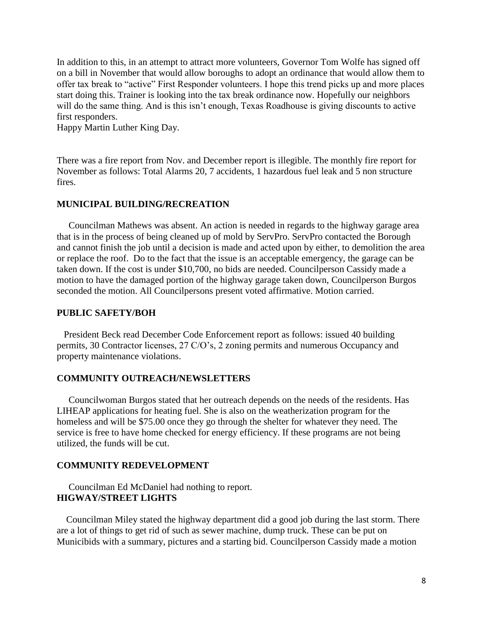In addition to this, in an attempt to attract more volunteers, Governor Tom Wolfe has signed off on a bill in November that would allow boroughs to adopt an ordinance that would allow them to offer tax break to "active" First Responder volunteers. I hope this trend picks up and more places start doing this. Trainer is looking into the tax break ordinance now. Hopefully our neighbors will do the same thing. And is this isn't enough, Texas Roadhouse is giving discounts to active first responders.

Happy Martin Luther King Day.

There was a fire report from Nov. and December report is illegible. The monthly fire report for November as follows: Total Alarms 20, 7 accidents, 1 hazardous fuel leak and 5 non structure fires.

### **MUNICIPAL BUILDING/RECREATION**

 Councilman Mathews was absent. An action is needed in regards to the highway garage area that is in the process of being cleaned up of mold by ServPro. ServPro contacted the Borough and cannot finish the job until a decision is made and acted upon by either, to demolition the area or replace the roof. Do to the fact that the issue is an acceptable emergency, the garage can be taken down. If the cost is under \$10,700, no bids are needed. Councilperson Cassidy made a motion to have the damaged portion of the highway garage taken down, Councilperson Burgos seconded the motion. All Councilpersons present voted affirmative. Motion carried.

#### **PUBLIC SAFETY/BOH**

 President Beck read December Code Enforcement report as follows: issued 40 building permits, 30 Contractor licenses, 27 C/O's, 2 zoning permits and numerous Occupancy and property maintenance violations.

### **COMMUNITY OUTREACH/NEWSLETTERS**

 Councilwoman Burgos stated that her outreach depends on the needs of the residents. Has LIHEAP applications for heating fuel. She is also on the weatherization program for the homeless and will be \$75.00 once they go through the shelter for whatever they need. The service is free to have home checked for energy efficiency. If these programs are not being utilized, the funds will be cut.

### **COMMUNITY REDEVELOPMENT**

Councilman Ed McDaniel had nothing to report. **HIGWAY/STREET LIGHTS**

 Councilman Miley stated the highway department did a good job during the last storm. There are a lot of things to get rid of such as sewer machine, dump truck. These can be put on Municibids with a summary, pictures and a starting bid. Councilperson Cassidy made a motion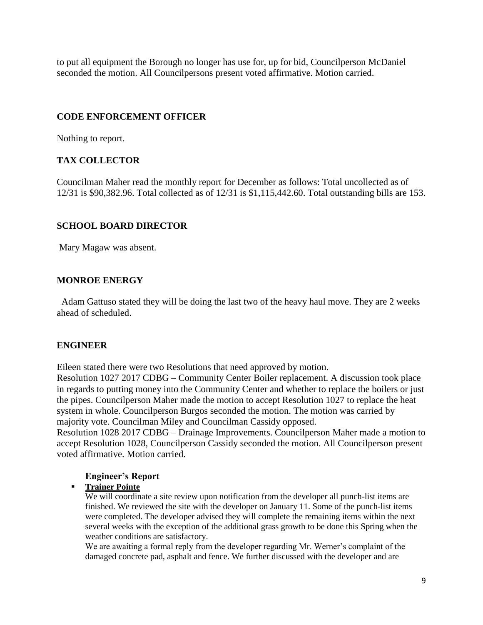to put all equipment the Borough no longer has use for, up for bid, Councilperson McDaniel seconded the motion. All Councilpersons present voted affirmative. Motion carried.

# **CODE ENFORCEMENT OFFICER**

Nothing to report.

# **TAX COLLECTOR**

Councilman Maher read the monthly report for December as follows: Total uncollected as of 12/31 is \$90,382.96. Total collected as of 12/31 is \$1,115,442.60. Total outstanding bills are 153.

# **SCHOOL BOARD DIRECTOR**

Mary Magaw was absent.

# **MONROE ENERGY**

 Adam Gattuso stated they will be doing the last two of the heavy haul move. They are 2 weeks ahead of scheduled.

# **ENGINEER**

Eileen stated there were two Resolutions that need approved by motion.

Resolution 1027 2017 CDBG – Community Center Boiler replacement. A discussion took place in regards to putting money into the Community Center and whether to replace the boilers or just the pipes. Councilperson Maher made the motion to accept Resolution 1027 to replace the heat system in whole. Councilperson Burgos seconded the motion. The motion was carried by majority vote. Councilman Miley and Councilman Cassidy opposed.

Resolution 1028 2017 CDBG – Drainage Improvements. Councilperson Maher made a motion to accept Resolution 1028, Councilperson Cassidy seconded the motion. All Councilperson present voted affirmative. Motion carried.

# **Engineer's Report**

### **Trainer Pointe**

We will coordinate a site review upon notification from the developer all punch-list items are finished. We reviewed the site with the developer on January 11. Some of the punch-list items were completed. The developer advised they will complete the remaining items within the next several weeks with the exception of the additional grass growth to be done this Spring when the weather conditions are satisfactory.

We are awaiting a formal reply from the developer regarding Mr. Werner's complaint of the damaged concrete pad, asphalt and fence. We further discussed with the developer and are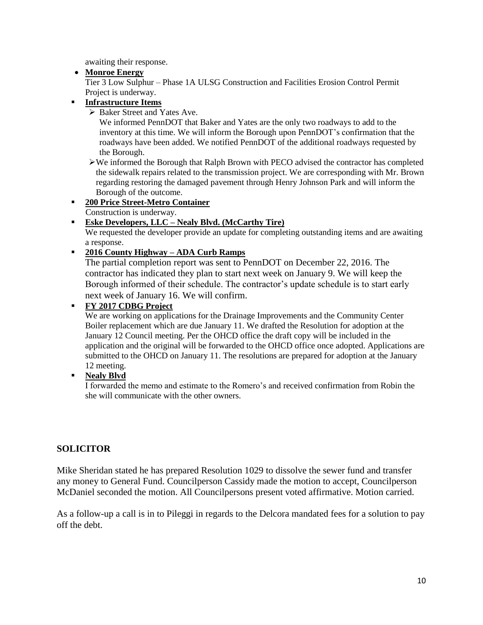awaiting their response.

### **Monroe Energy**

Tier 3 Low Sulphur – Phase 1A ULSG Construction and Facilities Erosion Control Permit Project is underway.

# **Infrastructure Items**

▶ Baker Street and Yates Ave.

We informed PennDOT that Baker and Yates are the only two roadways to add to the inventory at this time. We will inform the Borough upon PennDOT's confirmation that the roadways have been added. We notified PennDOT of the additional roadways requested by the Borough.

We informed the Borough that Ralph Brown with PECO advised the contractor has completed the sidewalk repairs related to the transmission project. We are corresponding with Mr. Brown regarding restoring the damaged pavement through Henry Johnson Park and will inform the Borough of the outcome.

# **200 Price Street-Metro Container**

Construction is underway.

# **Eske Developers, LLC – Nealy Blvd. (McCarthy Tire)**

We requested the developer provide an update for completing outstanding items and are awaiting a response.

**2016 County Highway – ADA Curb Ramps**

The partial completion report was sent to PennDOT on December 22, 2016. The contractor has indicated they plan to start next week on January 9. We will keep the Borough informed of their schedule. The contractor's update schedule is to start early next week of January 16. We will confirm.

### **FY 2017 CDBG Project**

We are working on applications for the Drainage Improvements and the Community Center Boiler replacement which are due January 11. We drafted the Resolution for adoption at the January 12 Council meeting. Per the OHCD office the draft copy will be included in the application and the original will be forwarded to the OHCD office once adopted. Applications are submitted to the OHCD on January 11. The resolutions are prepared for adoption at the January 12 meeting.

### **Nealy Blvd**

I forwarded the memo and estimate to the Romero's and received confirmation from Robin the she will communicate with the other owners.

# **SOLICITOR**

Mike Sheridan stated he has prepared Resolution 1029 to dissolve the sewer fund and transfer any money to General Fund. Councilperson Cassidy made the motion to accept, Councilperson McDaniel seconded the motion. All Councilpersons present voted affirmative. Motion carried.

As a follow-up a call is in to Pileggi in regards to the Delcora mandated fees for a solution to pay off the debt.